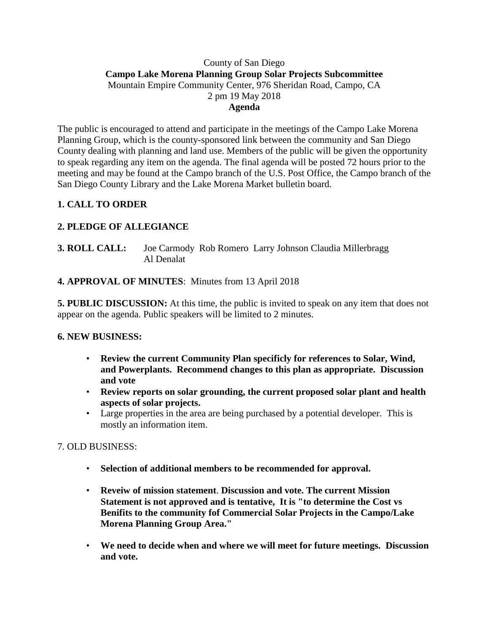### County of San Diego **Campo Lake Morena Planning Group Solar Projects Subcommittee** Mountain Empire Community Center, 976 Sheridan Road, Campo, CA 2 pm 19 May 2018 **Agenda**

The public is encouraged to attend and participate in the meetings of the Campo Lake Morena Planning Group, which is the county-sponsored link between the community and San Diego County dealing with planning and land use. Members of the public will be given the opportunity to speak regarding any item on the agenda. The final agenda will be posted 72 hours prior to the meeting and may be found at the Campo branch of the U.S. Post Office, the Campo branch of the San Diego County Library and the Lake Morena Market bulletin board.

# **1. CALL TO ORDER**

# **2. PLEDGE OF ALLEGIANCE**

**3. ROLL CALL:** Joe Carmody Rob Romero Larry Johnson Claudia Millerbragg Al Denalat

### **4. APPROVAL OF MINUTES**: Minutes from 13 April 2018

**5. PUBLIC DISCUSSION:** At this time, the public is invited to speak on any item that does not appear on the agenda. Public speakers will be limited to 2 minutes.

### **6. NEW BUSINESS:**

- **Review the current Community Plan specificly for references to Solar, Wind, and Powerplants. Recommend changes to this plan as appropriate. Discussion and vote**
- **Review reports on solar grounding, the current proposed solar plant and health aspects of solar projects.**
- Large properties in the area are being purchased by a potential developer. This is mostly an information item.

## 7. OLD BUSINESS:

- **Selection of additional members to be recommended for approval.**
- **Reveiw of mission statement**. **Discussion and vote. The current Mission Statement is not approved and is tentative, It is "to determine the Cost vs Benifits to the community fof Commercial Solar Projects in the Campo/Lake Morena Planning Group Area."**
- **We need to decide when and where we will meet for future meetings. Discussion and vote.**